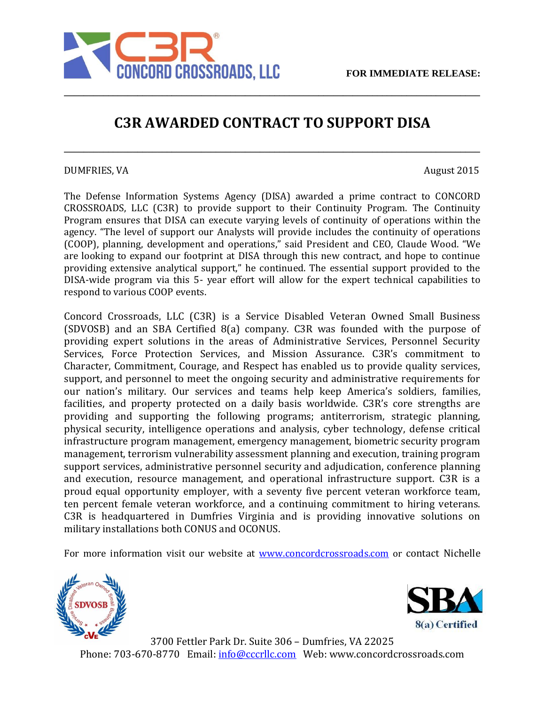

## **C3R AWARDED CONTRACT TO SUPPORT DISA**

**\_\_\_\_\_\_\_\_\_\_\_\_\_\_\_\_\_\_\_\_\_\_\_\_\_\_\_\_\_\_\_\_\_\_\_\_\_\_\_\_\_\_\_\_\_\_\_\_\_\_\_\_\_\_\_\_\_\_\_\_\_\_\_\_\_\_\_\_\_\_\_\_\_\_\_\_\_\_\_\_\_\_\_\_\_**

**\_\_\_\_\_\_\_\_\_\_\_\_\_\_\_\_\_\_\_\_\_\_\_\_\_\_\_\_\_\_\_\_\_\_\_\_\_\_\_\_\_\_\_\_\_\_\_\_\_\_\_\_\_\_\_\_\_\_\_\_\_\_\_\_\_\_\_\_\_\_\_\_\_\_\_\_\_\_\_\_\_\_\_\_\_**

## DUMFRIES, VA August 2015

The Defense Information Systems Agency (DISA) awarded a prime contract to CONCORD CROSSROADS, LLC (C3R) to provide support to their Continuity Program. The Continuity Program ensures that DISA can execute varying levels of continuity of operations within the agency. "The level of support our Analysts will provide includes the continuity of operations (COOP), planning, development and operations," said President and CEO, Claude Wood. "We are looking to expand our footprint at DISA through this new contract, and hope to continue providing extensive analytical support," he continued. The essential support provided to the DISA-wide program via this 5- year effort will allow for the expert technical capabilities to respond to various COOP events.

Concord Crossroads, LLC (C3R) is a Service Disabled Veteran Owned Small Business (SDVOSB) and an SBA Certified 8(a) company. C3R was founded with the purpose of providing expert solutions in the areas of Administrative Services, Personnel Security Services, Force Protection Services, and Mission Assurance. C3R's commitment to Character, Commitment, Courage, and Respect has enabled us to provide quality services, support, and personnel to meet the ongoing security and administrative requirements for our nation's military. Our services and teams help keep America's soldiers, families, facilities, and property protected on a daily basis worldwide. C3R's core strengths are providing and supporting the following programs; antiterrorism, strategic planning, physical security, intelligence operations and analysis, cyber technology, defense critical infrastructure program management, emergency management, biometric security program management, terrorism vulnerability assessment planning and execution, training program support services, administrative personnel security and adjudication, conference planning and execution, resource management, and operational infrastructure support. C3R is a proud equal opportunity employer, with a seventy five percent veteran workforce team, ten percent female veteran workforce, and a continuing commitment to hiring veterans. C3R is headquartered in Dumfries Virginia and is providing innovative solutions on military installations both CONUS and OCONUS.

For more information visit our website at [www.concordcrossroads.com](http://www.concordcrossroads.com/) or contact Nichelle





3700 Fettler Park Dr. Suite 306 – Dumfries, VA 22025 Phone: 703-670-8770 Email: info@cccrllc.com Web: www.concordcrossroads.com